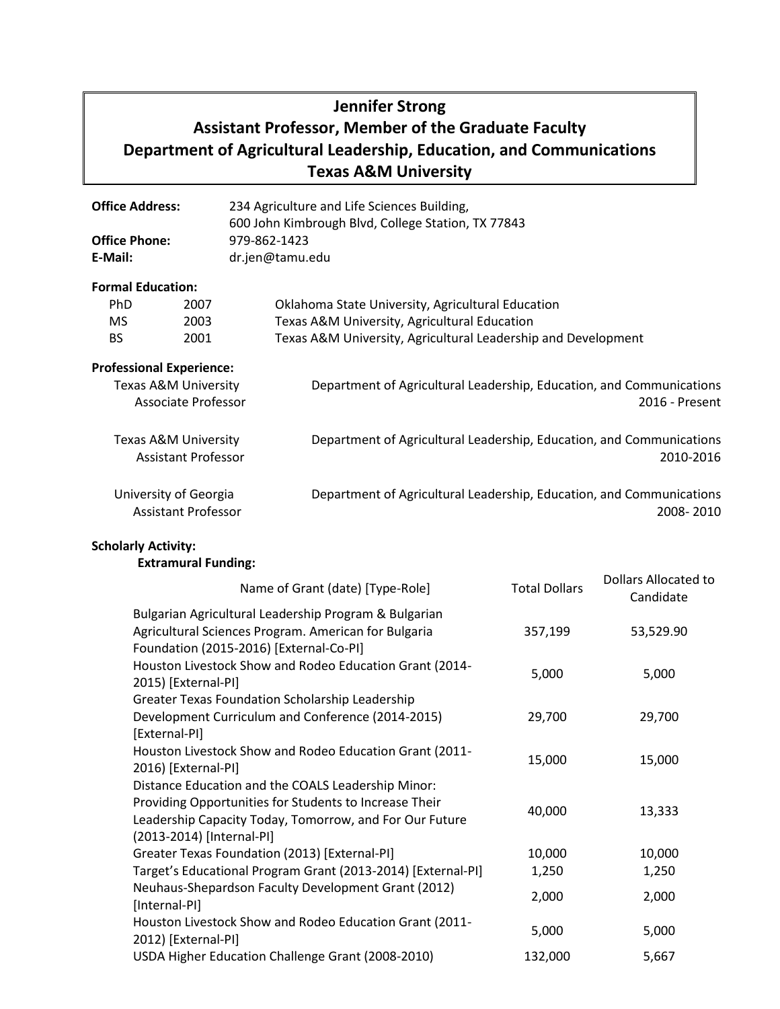# **Jennifer Strong**

# **Assistant Professor, Member of the Graduate Faculty Department of Agricultural Leadership, Education, and Communications Texas A&M University**

| <b>Office Address:</b>                                        |      | 234 Agriculture and Life Sciences Building,<br>600 John Kimbrough Blvd, College Station, TX 77843 |  |  |  |  |
|---------------------------------------------------------------|------|---------------------------------------------------------------------------------------------------|--|--|--|--|
| <b>Office Phone:</b>                                          |      | 979-862-1423                                                                                      |  |  |  |  |
| E-Mail:                                                       |      | dr.jen@tamu.edu                                                                                   |  |  |  |  |
| <b>Formal Education:</b>                                      |      |                                                                                                   |  |  |  |  |
| PhD.                                                          | 2007 | Oklahoma State University, Agricultural Education                                                 |  |  |  |  |
| MS.                                                           | 2003 | Texas A&M University, Agricultural Education                                                      |  |  |  |  |
| BS.                                                           | 2001 | Texas A&M University, Agricultural Leadership and Development                                     |  |  |  |  |
| <b>Professional Experience:</b>                               |      |                                                                                                   |  |  |  |  |
| Texas A&M University                                          |      | Department of Agricultural Leadership, Education, and Communications                              |  |  |  |  |
| <b>Associate Professor</b>                                    |      | 2016 - Present                                                                                    |  |  |  |  |
| <b>Texas A&amp;M University</b><br><b>Assistant Professor</b> |      | Department of Agricultural Leadership, Education, and Communications<br>2010-2016                 |  |  |  |  |

 University of Georgia Assistant Professor Department of Agricultural Leadership, Education, and Communications 2008- 2010

**Scholarly Activity:**

### **Extramural Funding:**

| Name of Grant (date) [Type-Role]                                                                                                                                                                     | <b>Total Dollars</b> | Dollars Allocated to<br>Candidate |
|------------------------------------------------------------------------------------------------------------------------------------------------------------------------------------------------------|----------------------|-----------------------------------|
| Bulgarian Agricultural Leadership Program & Bulgarian<br>Agricultural Sciences Program. American for Bulgaria<br>Foundation (2015-2016) [External-Co-PI]                                             | 357,199              | 53,529.90                         |
| Houston Livestock Show and Rodeo Education Grant (2014-<br>2015) [External-PI]                                                                                                                       | 5,000                | 5,000                             |
| Greater Texas Foundation Scholarship Leadership<br>Development Curriculum and Conference (2014-2015)<br>[External-PI]                                                                                | 29,700               | 29,700                            |
| Houston Livestock Show and Rodeo Education Grant (2011-<br>2016) [External-PI]                                                                                                                       | 15,000               | 15,000                            |
| Distance Education and the COALS Leadership Minor:<br>Providing Opportunities for Students to Increase Their<br>Leadership Capacity Today, Tomorrow, and For Our Future<br>(2013-2014) [Internal-PI] | 40,000               | 13,333                            |
| Greater Texas Foundation (2013) [External-PI]                                                                                                                                                        | 10,000               | 10,000                            |
| Target's Educational Program Grant (2013-2014) [External-PI]                                                                                                                                         | 1,250                | 1,250                             |
| Neuhaus-Shepardson Faculty Development Grant (2012)<br>[Internal-PI]                                                                                                                                 | 2,000                | 2,000                             |
| Houston Livestock Show and Rodeo Education Grant (2011-<br>2012) [External-PI]                                                                                                                       | 5,000                | 5,000                             |
| USDA Higher Education Challenge Grant (2008-2010)                                                                                                                                                    | 132,000              | 5,667                             |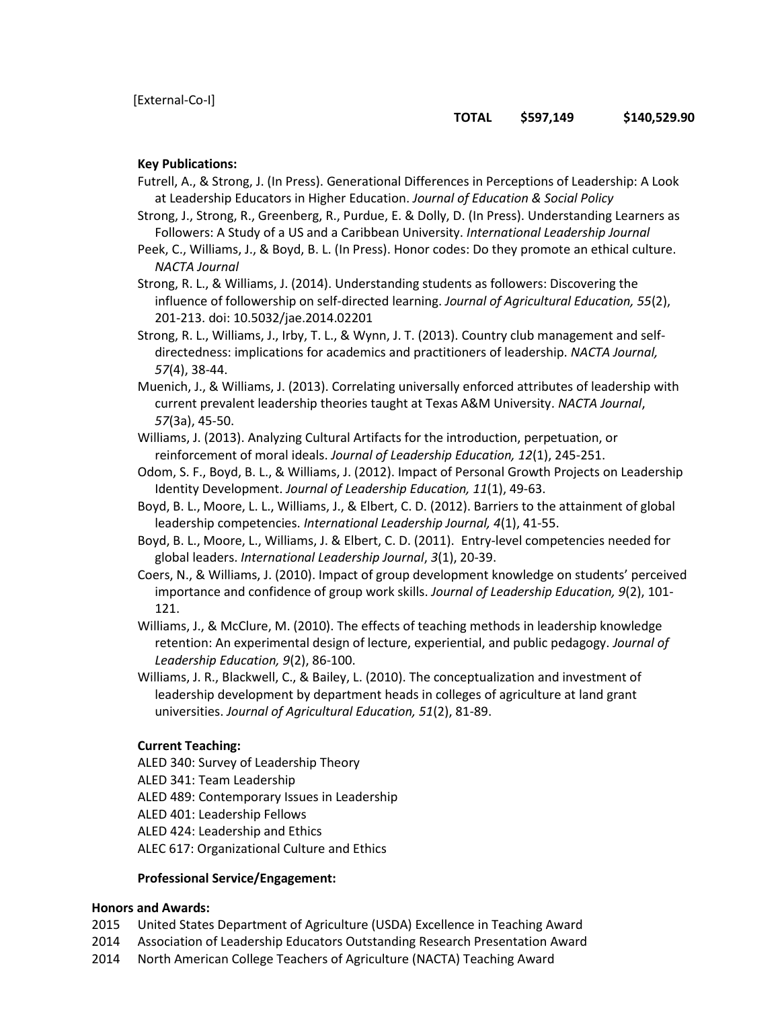## **TOTAL \$597,149 \$140,529.90**

#### **Key Publications:**

Futrell, A., & Strong, J. (In Press). Generational Differences in Perceptions of Leadership: A Look at Leadership Educators in Higher Education. *Journal of Education & Social Policy*

Strong, J., Strong, R., Greenberg, R., Purdue, E. & Dolly, D. (In Press). Understanding Learners as Followers: A Study of a US and a Caribbean University. *International Leadership Journal*

Peek, C., Williams, J., & Boyd, B. L. (In Press). Honor codes: Do they promote an ethical culture. *NACTA Journal*

Strong, R. L., & Williams, J. (2014). Understanding students as followers: Discovering the influence of followership on self-directed learning. *Journal of Agricultural Education, 55*(2), 201-213. doi: 10.5032/jae.2014.02201

Strong, R. L., Williams, J., Irby, T. L., & Wynn, J. T. (2013). Country club management and selfdirectedness: implications for academics and practitioners of leadership. *NACTA Journal, 57*(4), 38-44.

Muenich, J., & Williams, J. (2013). Correlating universally enforced attributes of leadership with current prevalent leadership theories taught at Texas A&M University. *NACTA Journal*, *57*(3a), 45-50.

- Williams, J. (2013). Analyzing Cultural Artifacts for the introduction, perpetuation, or reinforcement of moral ideals. *Journal of Leadership Education, 12*(1), 245-251.
- Odom, S. F., Boyd, B. L., & Williams, J. (2012). Impact of Personal Growth Projects on Leadership Identity Development. *Journal of Leadership Education, 11*(1), 49-63.
- Boyd, B. L., Moore, L. L., Williams, J., & Elbert, C. D. (2012). Barriers to the attainment of global leadership competencies. *International Leadership Journal, 4*(1), 41-55.
- Boyd, B. L., Moore, L., Williams, J. & Elbert, C. D. (2011). Entry-level competencies needed for global leaders. *International Leadership Journal*, *3*(1), 20-39.
- Coers, N., & Williams, J. (2010). Impact of group development knowledge on students' perceived importance and confidence of group work skills. *Journal of Leadership Education, 9*(2), 101- 121.

Williams, J., & McClure, M. (2010). The effects of teaching methods in leadership knowledge retention: An experimental design of lecture, experiential, and public pedagogy. *Journal of Leadership Education, 9*(2), 86-100.

Williams, J. R., Blackwell, C., & Bailey, L. (2010). The conceptualization and investment of leadership development by department heads in colleges of agriculture at land grant universities. *Journal of Agricultural Education, 51*(2), 81-89.

#### **Current Teaching:**

- ALED 340: Survey of Leadership Theory
- ALED 341: Team Leadership

ALED 489: Contemporary Issues in Leadership

ALED 401: Leadership Fellows

ALED 424: Leadership and Ethics

ALEC 617: Organizational Culture and Ethics

#### **Professional Service/Engagement:**

#### **Honors and Awards:**

- 2015 United States Department of Agriculture (USDA) Excellence in Teaching Award
- 2014 Association of Leadership Educators Outstanding Research Presentation Award
- 2014 North American College Teachers of Agriculture (NACTA) Teaching Award